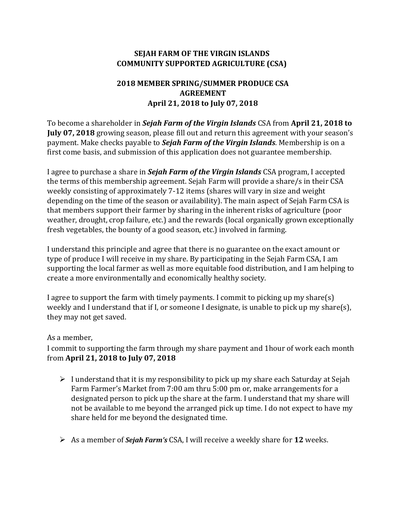## **SEJAH FARM OF THE VIRGIN ISLANDS COMMUNITY SUPPORTED AGRICULTURE (CSA)**

## **2018 MEMBER SPRING/SUMMER PRODUCE CSA AGREEMENT April 21, 2018 to July 07, 2018**

To become a shareholder in *Sejah Farm of the Virgin Islands* CSA from **April 21, 2018 to July 07, 2018** growing season, please fill out and return this agreement with your season's payment. Make checks payable to *Sejah Farm of the Virgin Islands*. Membership is on a first come basis, and submission of this application does not guarantee membership.

I agree to purchase a share in *Sejah Farm of the Virgin Islands* CSA program, I accepted the terms of this membership agreement. Sejah Farm will provide a share/s in their CSA weekly consisting of approximately 7-12 items (shares will vary in size and weight depending on the time of the season or availability). The main aspect of Sejah Farm CSA is that members support their farmer by sharing in the inherent risks of agriculture (poor weather, drought, crop failure, etc.) and the rewards (local organically grown exceptionally fresh vegetables, the bounty of a good season, etc.) involved in farming.

I understand this principle and agree that there is no guarantee on the exact amount or type of produce I will receive in my share. By participating in the Sejah Farm CSA, I am supporting the local farmer as well as more equitable food distribution, and I am helping to create a more environmentally and economically healthy society.

I agree to support the farm with timely payments. I commit to picking up my share(s) weekly and I understand that if I, or someone I designate, is unable to pick up my share(s), they may not get saved.

## As a member,

I commit to supporting the farm through my share payment and 1hour of work each month from **April 21, 2018 to July 07, 2018**

- $\triangleright$  I understand that it is my responsibility to pick up my share each Saturday at Sejah Farm Farmer's Market from 7:00 am thru 5:00 pm or, make arrangements for a designated person to pick up the share at the farm. I understand that my share will not be available to me beyond the arranged pick up time. I do not expect to have my share held for me beyond the designated time.
- ➢ As a member of *Sejah Farm's* CSA, I will receive a weekly share for **12** weeks.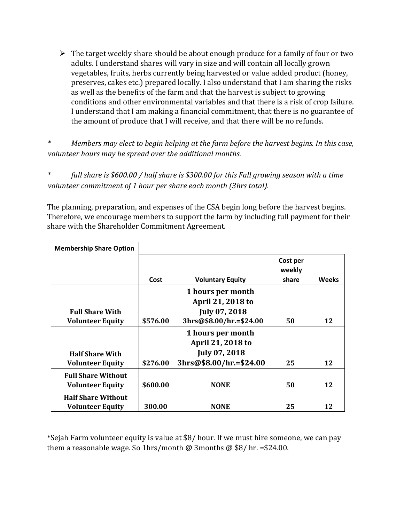$\triangleright$  The target weekly share should be about enough produce for a family of four or two adults. I understand shares will vary in size and will contain all locally grown vegetables, fruits, herbs currently being harvested or value added product (honey, preserves, cakes etc.) prepared locally. I also understand that I am sharing the risks as well as the benefits of the farm and that the harvest is subject to growing conditions and other environmental variables and that there is a risk of crop failure. I understand that I am making a financial commitment, that there is no guarantee of the amount of produce that I will receive, and that there will be no refunds.

*\* Members may elect to begin helping at the farm before the harvest begins. In this case, volunteer hours may be spread over the additional months.* 

*\* full share is \$600.00 / half share is \$300.00 for this Fall growing season with a time volunteer commitment of 1 hour per share each month (3hrs total).* 

The planning, preparation, and expenses of the CSA begin long before the harvest begins. Therefore, we encourage members to support the farm by including full payment for their share with the Shareholder Commitment Agreement.

| <b>Membership Share Option</b>                       |          |                                                                |                             |              |
|------------------------------------------------------|----------|----------------------------------------------------------------|-----------------------------|--------------|
|                                                      | Cost     | <b>Voluntary Equity</b>                                        | Cost per<br>weekly<br>share | <b>Weeks</b> |
| <b>Full Share With</b>                               |          | 1 hours per month<br>April 21, 2018 to<br>July 07, 2018        |                             |              |
| <b>Volunteer Equity</b>                              | \$576.00 | 3hrs@\$8.00/hr.=\$24.00                                        | 50                          | 12           |
| <b>Half Share With</b>                               |          | 1 hours per month<br>April 21, 2018 to<br><b>July 07, 2018</b> |                             |              |
| <b>Volunteer Equity</b>                              | \$276.00 | 3hrs@\$8.00/hr.=\$24.00                                        | 25                          | 12           |
| <b>Full Share Without</b><br><b>Volunteer Equity</b> | \$600.00 | <b>NONE</b>                                                    | 50                          | 12           |
| <b>Half Share Without</b><br><b>Volunteer Equity</b> | 300.00   | <b>NONE</b>                                                    | 25                          | 12           |

\*Sejah Farm volunteer equity is value at \$8/ hour. If we must hire someone, we can pay them a reasonable wage. So 1hrs/month @ 3months @  $$8/$  hr. = \$24.00.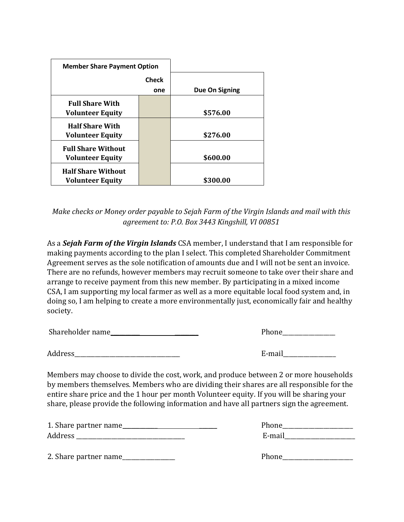| <b>Member Share Payment Option</b> |              |                |
|------------------------------------|--------------|----------------|
|                                    | <b>Check</b> |                |
|                                    | one          | Due On Signing |
| <b>Full Share With</b>             |              |                |
| <b>Volunteer Equity</b>            |              | \$576.00       |
| <b>Half Share With</b>             |              |                |
| <b>Volunteer Equity</b>            |              | \$276.00       |
| <b>Full Share Without</b>          |              |                |
| <b>Volunteer Equity</b>            |              | \$600.00       |
| <b>Half Share Without</b>          |              |                |
| <b>Volunteer Equity</b>            |              | \$300.00       |

*Make checks or Money order payable to Sejah Farm of the Virgin Islands and mail with this agreement to: P.O. Box 3443 Kingshill, VI 00851* 

As a *Sejah Farm of the Virgin Islands* CSA member, I understand that I am responsible for making payments according to the plan I select. This completed Shareholder Commitment Agreement serves as the sole notification of amounts due and I will not be sent an invoice. There are no refunds, however members may recruit someone to take over their share and arrange to receive payment from this new member. By participating in a mixed income CSA, I am supporting my local farmer as well as a more equitable local food system and, in doing so, I am helping to create a more environmentally just, economically fair and healthy society.

Shareholder name\_\_\_\_\_\_\_\_\_\_ \_\_\_\_\_\_\_\_ Phone\_\_\_\_\_\_\_\_\_\_\_\_\_\_\_\_\_\_

Address\_\_\_\_\_\_\_\_\_\_\_\_\_\_\_\_\_\_\_\_\_\_\_\_\_\_\_\_\_\_\_\_\_\_\_\_ E-mail\_\_\_\_\_\_\_\_\_\_\_\_\_\_\_\_\_\_

Members may choose to divide the cost, work, and produce between 2 or more households by members themselves. Members who are dividing their shares are all responsible for the entire share price and the 1 hour per month Volunteer equity. If you will be sharing your share, please provide the following information and have all partners sign the agreement.

| 1. Share partner name |              |
|-----------------------|--------------|
| Address               | $F_{\rm mm}$ |

| Phone  |  |
|--------|--|
| E-mail |  |

| 2. Share partner name | Phone |
|-----------------------|-------|
|-----------------------|-------|